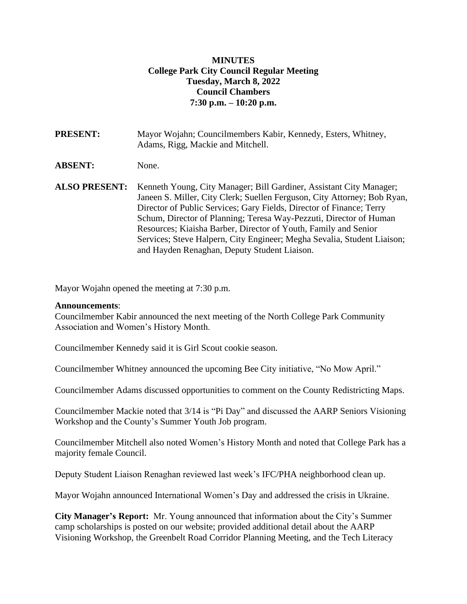## **MINUTES College Park City Council Regular Meeting Tuesday, March 8, 2022 Council Chambers 7:30 p.m. – 10:20 p.m.**

**PRESENT:** Mayor Wojahn; Councilmembers Kabir, Kennedy, Esters, Whitney, Adams, Rigg, Mackie and Mitchell.

**ABSENT:** None.

**ALSO PRESENT:** Kenneth Young, City Manager; Bill Gardiner, Assistant City Manager; Janeen S. Miller, City Clerk; Suellen Ferguson, City Attorney; Bob Ryan, Director of Public Services; Gary Fields, Director of Finance; Terry Schum, Director of Planning; Teresa Way-Pezzuti, Director of Human Resources; Kiaisha Barber, Director of Youth, Family and Senior Services; Steve Halpern, City Engineer; Megha Sevalia, Student Liaison; and Hayden Renaghan, Deputy Student Liaison.

Mayor Wojahn opened the meeting at 7:30 p.m.

#### **Announcements**:

Councilmember Kabir announced the next meeting of the North College Park Community Association and Women's History Month.

Councilmember Kennedy said it is Girl Scout cookie season.

Councilmember Whitney announced the upcoming Bee City initiative, "No Mow April."

Councilmember Adams discussed opportunities to comment on the County Redistricting Maps.

Councilmember Mackie noted that 3/14 is "Pi Day" and discussed the AARP Seniors Visioning Workshop and the County's Summer Youth Job program.

Councilmember Mitchell also noted Women's History Month and noted that College Park has a majority female Council.

Deputy Student Liaison Renaghan reviewed last week's IFC/PHA neighborhood clean up.

Mayor Wojahn announced International Women's Day and addressed the crisis in Ukraine.

**City Manager's Report:** Mr. Young announced that information about the City's Summer camp scholarships is posted on our website; provided additional detail about the AARP Visioning Workshop, the Greenbelt Road Corridor Planning Meeting, and the Tech Literacy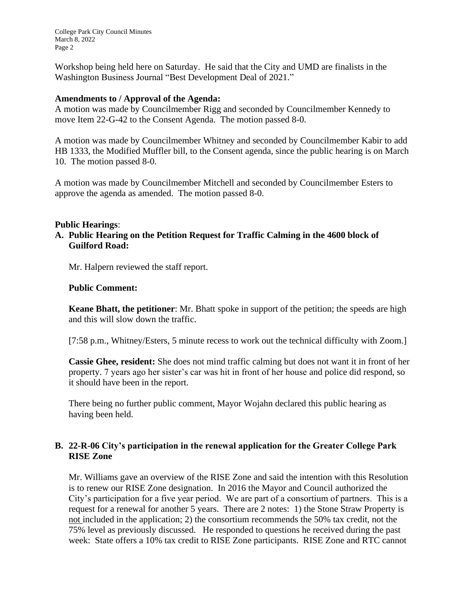College Park City Council Minutes March 8, 2022 Page 2

Workshop being held here on Saturday. He said that the City and UMD are finalists in the Washington Business Journal "Best Development Deal of 2021."

#### **Amendments to / Approval of the Agenda:**

A motion was made by Councilmember Rigg and seconded by Councilmember Kennedy to move Item 22-G-42 to the Consent Agenda. The motion passed 8-0.

A motion was made by Councilmember Whitney and seconded by Councilmember Kabir to add HB 1333, the Modified Muffler bill, to the Consent agenda, since the public hearing is on March 10. The motion passed 8-0.

A motion was made by Councilmember Mitchell and seconded by Councilmember Esters to approve the agenda as amended. The motion passed 8-0.

### **Public Hearings**:

**A. Public Hearing on the Petition Request for Traffic Calming in the 4600 block of Guilford Road:**

Mr. Halpern reviewed the staff report.

### **Public Comment:**

**Keane Bhatt, the petitioner**: Mr. Bhatt spoke in support of the petition; the speeds are high and this will slow down the traffic.

[7:58 p.m., Whitney/Esters, 5 minute recess to work out the technical difficulty with Zoom.]

**Cassie Ghee, resident:** She does not mind traffic calming but does not want it in front of her property. 7 years ago her sister's car was hit in front of her house and police did respond, so it should have been in the report.

There being no further public comment, Mayor Wojahn declared this public hearing as having been held.

## **B. 22-R-06 City's participation in the renewal application for the Greater College Park RISE Zone**

Mr. Williams gave an overview of the RISE Zone and said the intention with this Resolution is to renew our RISE Zone designation. In 2016 the Mayor and Council authorized the City's participation for a five year period. We are part of a consortium of partners. This is a request for a renewal for another 5 years. There are 2 notes: 1) the Stone Straw Property is not included in the application; 2) the consortium recommends the 50% tax credit, not the 75% level as previously discussed. He responded to questions he received during the past week: State offers a 10% tax credit to RISE Zone participants. RISE Zone and RTC cannot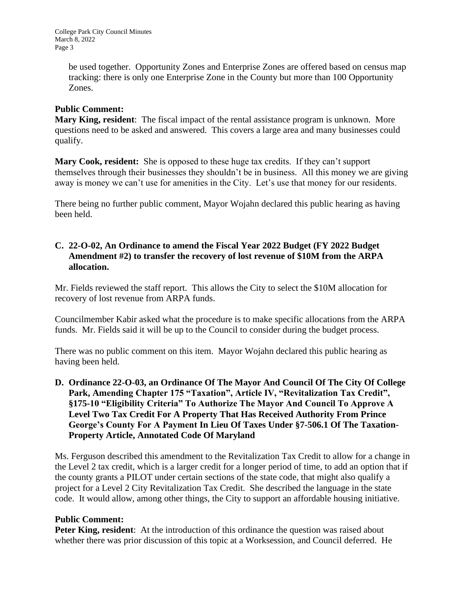be used together. Opportunity Zones and Enterprise Zones are offered based on census map tracking: there is only one Enterprise Zone in the County but more than 100 Opportunity Zones.

## **Public Comment:**

**Mary King, resident**: The fiscal impact of the rental assistance program is unknown. More questions need to be asked and answered. This covers a large area and many businesses could qualify.

**Mary Cook, resident:** She is opposed to these huge tax credits. If they can't support themselves through their businesses they shouldn't be in business. All this money we are giving away is money we can't use for amenities in the City. Let's use that money for our residents.

There being no further public comment, Mayor Wojahn declared this public hearing as having been held.

## **C. 22-O-02, An Ordinance to amend the Fiscal Year 2022 Budget (FY 2022 Budget Amendment #2) to transfer the recovery of lost revenue of \$10M from the ARPA allocation.**

Mr. Fields reviewed the staff report. This allows the City to select the \$10M allocation for recovery of lost revenue from ARPA funds.

Councilmember Kabir asked what the procedure is to make specific allocations from the ARPA funds. Mr. Fields said it will be up to the Council to consider during the budget process.

There was no public comment on this item. Mayor Wojahn declared this public hearing as having been held.

**D. Ordinance 22-O-03, an Ordinance Of The Mayor And Council Of The City Of College Park, Amending Chapter 175 "Taxation", Article IV, "Revitalization Tax Credit", §175-10 "Eligibility Criteria" To Authorize The Mayor And Council To Approve A Level Two Tax Credit For A Property That Has Received Authority From Prince George's County For A Payment In Lieu Of Taxes Under §7-506.1 Of The Taxation-Property Article, Annotated Code Of Maryland**

Ms. Ferguson described this amendment to the Revitalization Tax Credit to allow for a change in the Level 2 tax credit, which is a larger credit for a longer period of time, to add an option that if the county grants a PILOT under certain sections of the state code, that might also qualify a project for a Level 2 City Revitalization Tax Credit. She described the language in the state code. It would allow, among other things, the City to support an affordable housing initiative.

#### **Public Comment:**

**Peter King, resident:** At the introduction of this ordinance the question was raised about whether there was prior discussion of this topic at a Worksession, and Council deferred. He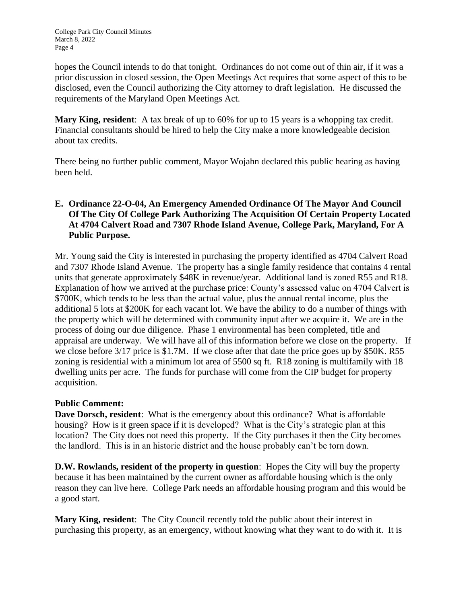hopes the Council intends to do that tonight. Ordinances do not come out of thin air, if it was a prior discussion in closed session, the Open Meetings Act requires that some aspect of this to be disclosed, even the Council authorizing the City attorney to draft legislation. He discussed the requirements of the Maryland Open Meetings Act.

**Mary King, resident**: A tax break of up to 60% for up to 15 years is a whopping tax credit. Financial consultants should be hired to help the City make a more knowledgeable decision about tax credits.

There being no further public comment, Mayor Wojahn declared this public hearing as having been held.

# **E. Ordinance 22-O-04, An Emergency Amended Ordinance Of The Mayor And Council Of The City Of College Park Authorizing The Acquisition Of Certain Property Located At 4704 Calvert Road and 7307 Rhode Island Avenue, College Park, Maryland, For A Public Purpose.**

Mr. Young said the City is interested in purchasing the property identified as 4704 Calvert Road and 7307 Rhode Island Avenue. The property has a single family residence that contains 4 rental units that generate approximately \$48K in revenue/year. Additional land is zoned R55 and R18. Explanation of how we arrived at the purchase price: County's assessed value on 4704 Calvert is \$700K, which tends to be less than the actual value, plus the annual rental income, plus the additional 5 lots at \$200K for each vacant lot. We have the ability to do a number of things with the property which will be determined with community input after we acquire it. We are in the process of doing our due diligence. Phase 1 environmental has been completed, title and appraisal are underway. We will have all of this information before we close on the property. If we close before 3/17 price is \$1.7M. If we close after that date the price goes up by \$50K. R55 zoning is residential with a minimum lot area of 5500 sq ft. R18 zoning is multifamily with 18 dwelling units per acre. The funds for purchase will come from the CIP budget for property acquisition.

## **Public Comment:**

**Dave Dorsch, resident**: What is the emergency about this ordinance? What is affordable housing? How is it green space if it is developed? What is the City's strategic plan at this location? The City does not need this property. If the City purchases it then the City becomes the landlord. This is in an historic district and the house probably can't be torn down.

**D.W. Rowlands, resident of the property in question**: Hopes the City will buy the property because it has been maintained by the current owner as affordable housing which is the only reason they can live here. College Park needs an affordable housing program and this would be a good start.

**Mary King, resident**: The City Council recently told the public about their interest in purchasing this property, as an emergency, without knowing what they want to do with it. It is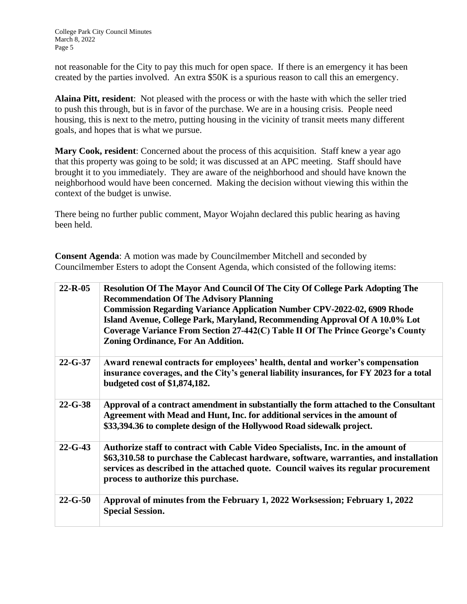not reasonable for the City to pay this much for open space. If there is an emergency it has been created by the parties involved. An extra \$50K is a spurious reason to call this an emergency.

**Alaina Pitt, resident**: Not pleased with the process or with the haste with which the seller tried to push this through, but is in favor of the purchase. We are in a housing crisis. People need housing, this is next to the metro, putting housing in the vicinity of transit meets many different goals, and hopes that is what we pursue.

Mary Cook, resident: Concerned about the process of this acquisition. Staff knew a year ago that this property was going to be sold; it was discussed at an APC meeting. Staff should have brought it to you immediately. They are aware of the neighborhood and should have known the neighborhood would have been concerned. Making the decision without viewing this within the context of the budget is unwise.

There being no further public comment, Mayor Wojahn declared this public hearing as having been held.

**Consent Agenda**: A motion was made by Councilmember Mitchell and seconded by Councilmember Esters to adopt the Consent Agenda, which consisted of the following items:

| $22 - R - 05$ | <b>Resolution Of The Mayor And Council Of The City Of College Park Adopting The</b><br><b>Recommendation Of The Advisory Planning</b><br><b>Commission Regarding Variance Application Number CPV-2022-02, 6909 Rhode</b><br>Island Avenue, College Park, Maryland, Recommending Approval Of A 10.0% Lot<br>Coverage Variance From Section 27-442(C) Table II Of The Prince George's County<br><b>Zoning Ordinance, For An Addition.</b> |
|---------------|-----------------------------------------------------------------------------------------------------------------------------------------------------------------------------------------------------------------------------------------------------------------------------------------------------------------------------------------------------------------------------------------------------------------------------------------|
| $22 - G - 37$ | Award renewal contracts for employees' health, dental and worker's compensation<br>insurance coverages, and the City's general liability insurances, for FY 2023 for a total<br>budgeted cost of \$1,874,182.                                                                                                                                                                                                                           |
| $22 - G - 38$ | Approval of a contract amendment in substantially the form attached to the Consultant<br>Agreement with Mead and Hunt, Inc. for additional services in the amount of<br>\$33,394.36 to complete design of the Hollywood Road sidewalk project.                                                                                                                                                                                          |
| $22 - G - 43$ | Authorize staff to contract with Cable Video Specialists, Inc. in the amount of<br>\$63,310.58 to purchase the Cablecast hardware, software, warranties, and installation<br>services as described in the attached quote. Council waives its regular procurement<br>process to authorize this purchase.                                                                                                                                 |
| $22 - G - 50$ | Approval of minutes from the February 1, 2022 Worksession; February 1, 2022<br><b>Special Session.</b>                                                                                                                                                                                                                                                                                                                                  |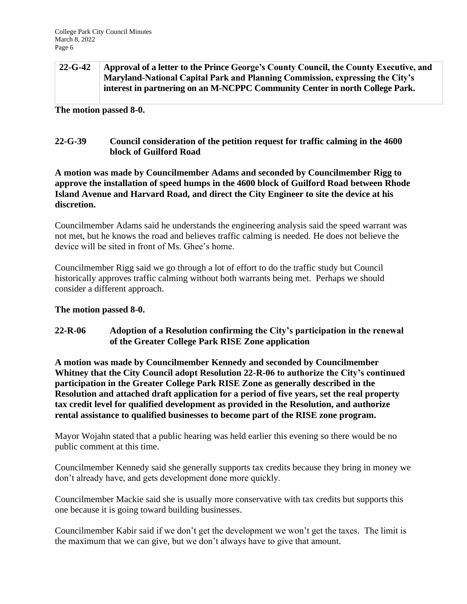| $22 - G - 42$ | Approval of a letter to the Prince George's County Council, the County Executive, and |
|---------------|---------------------------------------------------------------------------------------|
|               | Maryland-National Capital Park and Planning Commission, expressing the City's         |
|               | interest in partnering on an M-NCPPC Community Center in north College Park.          |

**The motion passed 8-0.**

## **22-G-39 Council consideration of the petition request for traffic calming in the 4600 block of Guilford Road**

**A motion was made by Councilmember Adams and seconded by Councilmember Rigg to approve the installation of speed humps in the 4600 block of Guilford Road between Rhode Island Avenue and Harvard Road, and direct the City Engineer to site the device at his discretion.**

Councilmember Adams said he understands the engineering analysis said the speed warrant was not met, but he knows the road and believes traffic calming is needed. He does not believe the device will be sited in front of Ms. Ghee's home.

Councilmember Rigg said we go through a lot of effort to do the traffic study but Council historically approves traffic calming without both warrants being met. Perhaps we should consider a different approach.

#### **The motion passed 8-0.**

## **22-R-06 Adoption of a Resolution confirming the City's participation in the renewal of the Greater College Park RISE Zone application**

**A motion was made by Councilmember Kennedy and seconded by Councilmember Whitney that the City Council adopt Resolution 22-R-06 to authorize the City's continued participation in the Greater College Park RISE Zone as generally described in the Resolution and attached draft application for a period of five years, set the real property tax credit level for qualified development as provided in the Resolution, and authorize rental assistance to qualified businesses to become part of the RISE zone program.** 

Mayor Wojahn stated that a public hearing was held earlier this evening so there would be no public comment at this time.

Councilmember Kennedy said she generally supports tax credits because they bring in money we don't already have, and gets development done more quickly.

Councilmember Mackie said she is usually more conservative with tax credits but supports this one because it is going toward building businesses.

Councilmember Kabir said if we don't get the development we won't get the taxes. The limit is the maximum that we can give, but we don't always have to give that amount.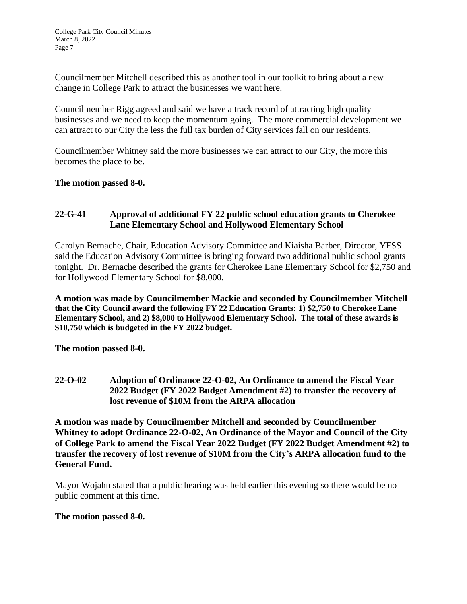Councilmember Mitchell described this as another tool in our toolkit to bring about a new change in College Park to attract the businesses we want here.

Councilmember Rigg agreed and said we have a track record of attracting high quality businesses and we need to keep the momentum going. The more commercial development we can attract to our City the less the full tax burden of City services fall on our residents.

Councilmember Whitney said the more businesses we can attract to our City, the more this becomes the place to be.

**The motion passed 8-0.**

## **22-G-41 Approval of additional FY 22 public school education grants to Cherokee Lane Elementary School and Hollywood Elementary School**

Carolyn Bernache, Chair, Education Advisory Committee and Kiaisha Barber, Director, YFSS said the Education Advisory Committee is bringing forward two additional public school grants tonight. Dr. Bernache described the grants for Cherokee Lane Elementary School for \$2,750 and for Hollywood Elementary School for \$8,000.

**A motion was made by Councilmember Mackie and seconded by Councilmember Mitchell that the City Council award the following FY 22 Education Grants: 1) \$2,750 to Cherokee Lane Elementary School, and 2) \$8,000 to Hollywood Elementary School. The total of these awards is \$10,750 which is budgeted in the FY 2022 budget.**

**The motion passed 8-0.**

**22-O-02 Adoption of Ordinance 22-O-02, An Ordinance to amend the Fiscal Year 2022 Budget (FY 2022 Budget Amendment #2) to transfer the recovery of lost revenue of \$10M from the ARPA allocation**

**A motion was made by Councilmember Mitchell and seconded by Councilmember Whitney to adopt Ordinance 22-O-02, An Ordinance of the Mayor and Council of the City of College Park to amend the Fiscal Year 2022 Budget (FY 2022 Budget Amendment #2) to transfer the recovery of lost revenue of \$10M from the City's ARPA allocation fund to the General Fund.**

Mayor Wojahn stated that a public hearing was held earlier this evening so there would be no public comment at this time.

#### **The motion passed 8-0.**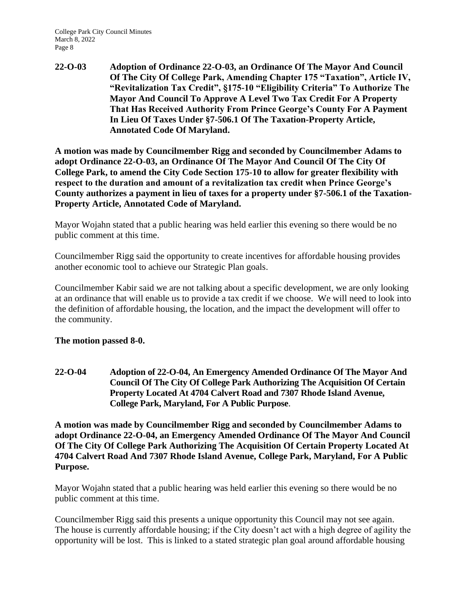College Park City Council Minutes March 8, 2022 Page 8

**22-O-03 Adoption of Ordinance 22-O-03, an Ordinance Of The Mayor And Council Of The City Of College Park, Amending Chapter 175 "Taxation", Article IV, "Revitalization Tax Credit", §175-10 "Eligibility Criteria" To Authorize The Mayor And Council To Approve A Level Two Tax Credit For A Property That Has Received Authority From Prince George's County For A Payment In Lieu Of Taxes Under §7-506.1 Of The Taxation-Property Article, Annotated Code Of Maryland.**

**A motion was made by Councilmember Rigg and seconded by Councilmember Adams to adopt Ordinance 22-O-03, an Ordinance Of The Mayor And Council Of The City Of College Park, to amend the City Code Section 175-10 to allow for greater flexibility with respect to the duration and amount of a revitalization tax credit when Prince George's County authorizes a payment in lieu of taxes for a property under §7-506.1 of the Taxation-Property Article, Annotated Code of Maryland.**

Mayor Wojahn stated that a public hearing was held earlier this evening so there would be no public comment at this time.

Councilmember Rigg said the opportunity to create incentives for affordable housing provides another economic tool to achieve our Strategic Plan goals.

Councilmember Kabir said we are not talking about a specific development, we are only looking at an ordinance that will enable us to provide a tax credit if we choose. We will need to look into the definition of affordable housing, the location, and the impact the development will offer to the community.

**The motion passed 8-0.**

**22-O-04 Adoption of 22-O-04, An Emergency Amended Ordinance Of The Mayor And Council Of The City Of College Park Authorizing The Acquisition Of Certain Property Located At 4704 Calvert Road and 7307 Rhode Island Avenue, College Park, Maryland, For A Public Purpose**.

**A motion was made by Councilmember Rigg and seconded by Councilmember Adams to adopt Ordinance 22-O-04, an Emergency Amended Ordinance Of The Mayor And Council Of The City Of College Park Authorizing The Acquisition Of Certain Property Located At 4704 Calvert Road And 7307 Rhode Island Avenue, College Park, Maryland, For A Public Purpose.**

Mayor Wojahn stated that a public hearing was held earlier this evening so there would be no public comment at this time.

Councilmember Rigg said this presents a unique opportunity this Council may not see again. The house is currently affordable housing; if the City doesn't act with a high degree of agility the opportunity will be lost. This is linked to a stated strategic plan goal around affordable housing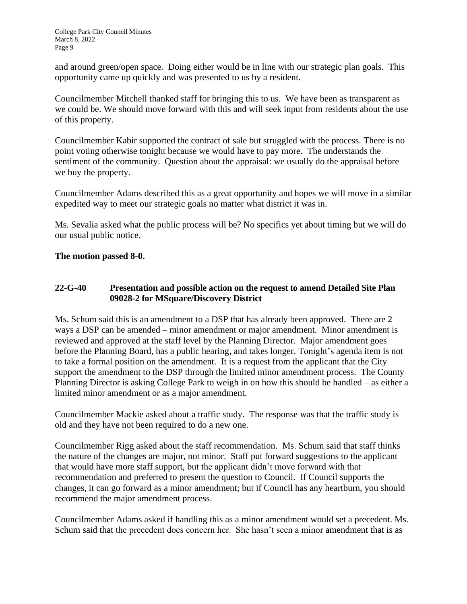and around green/open space. Doing either would be in line with our strategic plan goals. This opportunity came up quickly and was presented to us by a resident.

Councilmember Mitchell thanked staff for bringing this to us. We have been as transparent as we could be. We should move forward with this and will seek input from residents about the use of this property.

Councilmember Kabir supported the contract of sale but struggled with the process. There is no point voting otherwise tonight because we would have to pay more. The understands the sentiment of the community. Question about the appraisal: we usually do the appraisal before we buy the property.

Councilmember Adams described this as a great opportunity and hopes we will move in a similar expedited way to meet our strategic goals no matter what district it was in.

Ms. Sevalia asked what the public process will be? No specifics yet about timing but we will do our usual public notice.

## **The motion passed 8-0.**

## **22-G-40 Presentation and possible action on the request to amend Detailed Site Plan 09028-2 for MSquare/Discovery District**

Ms. Schum said this is an amendment to a DSP that has already been approved. There are 2 ways a DSP can be amended – minor amendment or major amendment. Minor amendment is reviewed and approved at the staff level by the Planning Director. Major amendment goes before the Planning Board, has a public hearing, and takes longer. Tonight's agenda item is not to take a formal position on the amendment. It is a request from the applicant that the City support the amendment to the DSP through the limited minor amendment process. The County Planning Director is asking College Park to weigh in on how this should be handled – as either a limited minor amendment or as a major amendment.

Councilmember Mackie asked about a traffic study. The response was that the traffic study is old and they have not been required to do a new one.

Councilmember Rigg asked about the staff recommendation. Ms. Schum said that staff thinks the nature of the changes are major, not minor. Staff put forward suggestions to the applicant that would have more staff support, but the applicant didn't move forward with that recommendation and preferred to present the question to Council. If Council supports the changes, it can go forward as a minor amendment; but if Council has any heartburn, you should recommend the major amendment process.

Councilmember Adams asked if handling this as a minor amendment would set a precedent. Ms. Schum said that the precedent does concern her. She hasn't seen a minor amendment that is as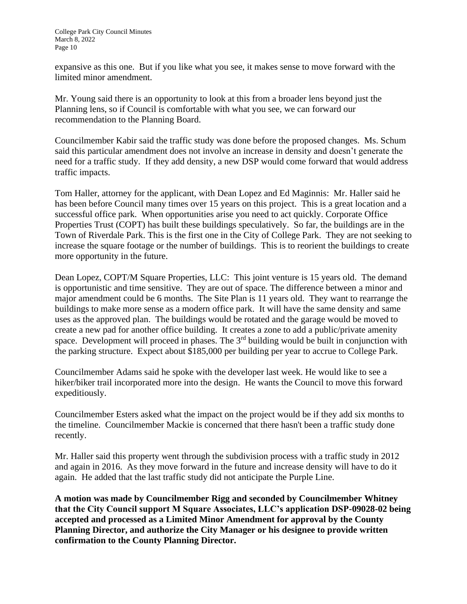expansive as this one. But if you like what you see, it makes sense to move forward with the limited minor amendment.

Mr. Young said there is an opportunity to look at this from a broader lens beyond just the Planning lens, so if Council is comfortable with what you see, we can forward our recommendation to the Planning Board.

Councilmember Kabir said the traffic study was done before the proposed changes. Ms. Schum said this particular amendment does not involve an increase in density and doesn't generate the need for a traffic study. If they add density, a new DSP would come forward that would address traffic impacts.

Tom Haller, attorney for the applicant, with Dean Lopez and Ed Maginnis: Mr. Haller said he has been before Council many times over 15 years on this project. This is a great location and a successful office park. When opportunities arise you need to act quickly. Corporate Office Properties Trust (COPT) has built these buildings speculatively. So far, the buildings are in the Town of Riverdale Park. This is the first one in the City of College Park. They are not seeking to increase the square footage or the number of buildings. This is to reorient the buildings to create more opportunity in the future.

Dean Lopez, COPT/M Square Properties, LLC: This joint venture is 15 years old. The demand is opportunistic and time sensitive. They are out of space. The difference between a minor and major amendment could be 6 months. The Site Plan is 11 years old. They want to rearrange the buildings to make more sense as a modern office park. It will have the same density and same uses as the approved plan. The buildings would be rotated and the garage would be moved to create a new pad for another office building. It creates a zone to add a public/private amenity space. Development will proceed in phases. The  $3<sup>rd</sup>$  building would be built in conjunction with the parking structure. Expect about \$185,000 per building per year to accrue to College Park.

Councilmember Adams said he spoke with the developer last week. He would like to see a hiker/biker trail incorporated more into the design. He wants the Council to move this forward expeditiously.

Councilmember Esters asked what the impact on the project would be if they add six months to the timeline. Councilmember Mackie is concerned that there hasn't been a traffic study done recently.

Mr. Haller said this property went through the subdivision process with a traffic study in 2012 and again in 2016. As they move forward in the future and increase density will have to do it again. He added that the last traffic study did not anticipate the Purple Line.

**A motion was made by Councilmember Rigg and seconded by Councilmember Whitney that the City Council support M Square Associates, LLC's application DSP-09028-02 being accepted and processed as a Limited Minor Amendment for approval by the County Planning Director, and authorize the City Manager or his designee to provide written confirmation to the County Planning Director.**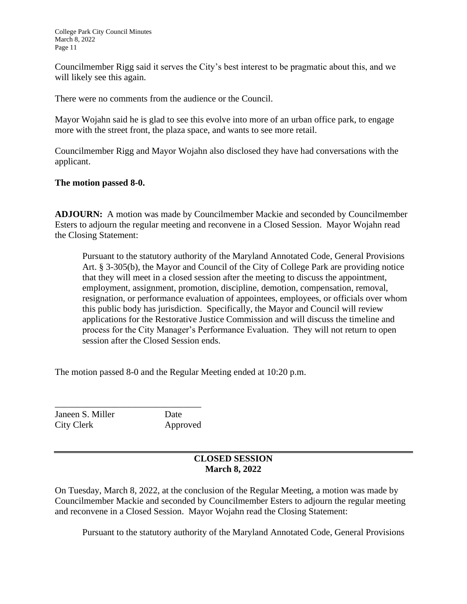College Park City Council Minutes March 8, 2022 Page 11

Councilmember Rigg said it serves the City's best interest to be pragmatic about this, and we will likely see this again.

There were no comments from the audience or the Council.

Mayor Wojahn said he is glad to see this evolve into more of an urban office park, to engage more with the street front, the plaza space, and wants to see more retail.

Councilmember Rigg and Mayor Wojahn also disclosed they have had conversations with the applicant.

### **The motion passed 8-0.**

**ADJOURN:** A motion was made by Councilmember Mackie and seconded by Councilmember Esters to adjourn the regular meeting and reconvene in a Closed Session. Mayor Wojahn read the Closing Statement:

Pursuant to the statutory authority of the Maryland Annotated Code, General Provisions Art. § 3-305(b), the Mayor and Council of the City of College Park are providing notice that they will meet in a closed session after the meeting to discuss the appointment, employment, assignment, promotion, discipline, demotion, compensation, removal, resignation, or performance evaluation of appointees, employees, or officials over whom this public body has jurisdiction. Specifically, the Mayor and Council will review applications for the Restorative Justice Commission and will discuss the timeline and process for the City Manager's Performance Evaluation. They will not return to open session after the Closed Session ends.

The motion passed 8-0 and the Regular Meeting ended at 10:20 p.m.

Janeen S. Miller Date City Clerk Approved

\_\_\_\_\_\_\_\_\_\_\_\_\_\_\_\_\_\_\_\_\_\_\_\_\_\_\_\_\_\_\_\_

## **CLOSED SESSION March 8, 2022**

On Tuesday, March 8, 2022, at the conclusion of the Regular Meeting, a motion was made by Councilmember Mackie and seconded by Councilmember Esters to adjourn the regular meeting and reconvene in a Closed Session. Mayor Wojahn read the Closing Statement:

Pursuant to the statutory authority of the Maryland Annotated Code, General Provisions